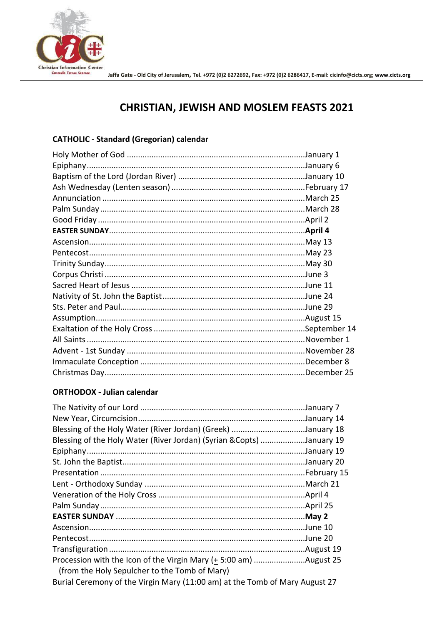

# **CHRISTIAN, JEWISH AND MOSLEM FEASTS 2021**

## **CATHOLIC - Standard (Gregorian) calendar**

#### **ORTHODOX - Julian calendar**

| Blessing of the Holy Water (River Jordan) (Greek) January 18              |  |
|---------------------------------------------------------------------------|--|
| Blessing of the Holy Water (River Jordan) (Syrian & Copts) January 19     |  |
|                                                                           |  |
|                                                                           |  |
|                                                                           |  |
|                                                                           |  |
|                                                                           |  |
|                                                                           |  |
|                                                                           |  |
|                                                                           |  |
|                                                                           |  |
|                                                                           |  |
| Procession with the Icon of the Virgin Mary (+ 5:00 am) August 25         |  |
| (from the Holy Sepulcher to the Tomb of Mary)                             |  |
| $\overline{a}$ in the state $\overline{a}$ is the state of $\overline{a}$ |  |

Burial Ceremony of the Virgin Mary (11:00 am) at the Tomb of Mary August 27